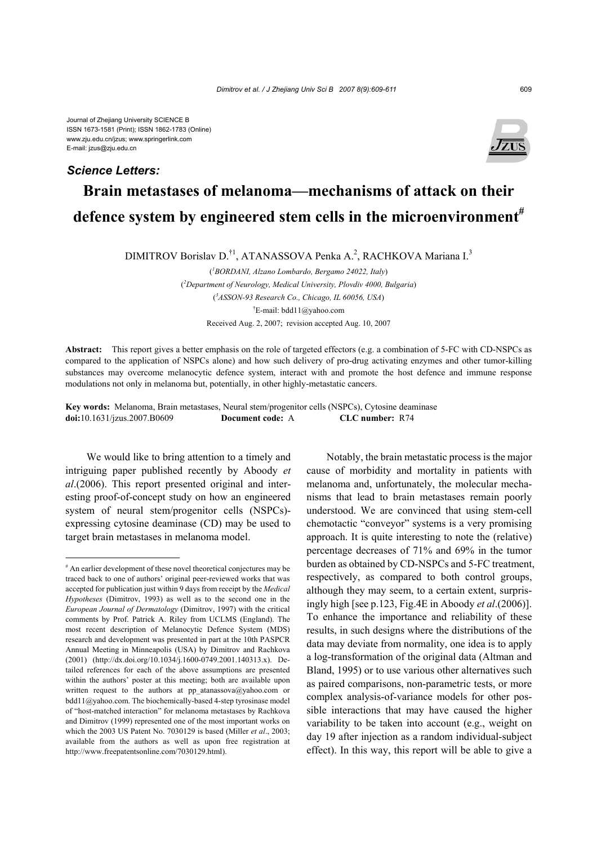Journal of Zhejiang University SCIENCE B ISSN 1673-1581 (Print); ISSN 1862-1783 (Online) www.zju.edu.cn/jzus; www.springerlink.com E-mail: jzus@zju.edu.cn

## *Science Letters:*



## **Brain metastases of melanoma—mechanisms of attack on their defence system by engineered stem cells in the microenvironment#**

DIMITROV Borislav D.<sup>†1</sup>, ATANASSOVA Penka A.<sup>2</sup>, RACHKOVA Mariana I.<sup>3</sup>

( *1 BORDANI, Alzano Lombardo, Bergamo 24022, Italy*) ( *2 Department of Neurology, Medical University, Plovdiv 4000, Bulgaria*) ( *3 ASSON-93 Research Co., Chicago, IL 60056, USA*) † E-mail: bdd11@yahoo.com Received Aug. 2, 2007; revision accepted Aug. 10, 2007

**Abstract:** This report gives a better emphasis on the role of targeted effectors (e.g. a combination of 5-FC with CD-NSPCs as compared to the application of NSPCs alone) and how such delivery of pro-drug activating enzymes and other tumor-killing substances may overcome melanocytic defence system, interact with and promote the host defence and immune response modulations not only in melanoma but, potentially, in other highly-metastatic cancers.

**Key words:** Melanoma, Brain metastases, Neural stem/progenitor cells (NSPCs), Cytosine deaminase **doi:**10.1631/jzus.2007.B0609 **Document code:** A **CLC number:** R74

We would like to bring attention to a timely and intriguing paper published recently by Aboody *et al*.(2006). This report presented original and interesting proof-of-concept study on how an engineered system of neural stem/progenitor cells (NSPCs) expressing cytosine deaminase (CD) may be used to target brain metastases in melanoma model.

Notably, the brain metastatic process is the major cause of morbidity and mortality in patients with melanoma and, unfortunately, the molecular mechanisms that lead to brain metastases remain poorly understood. We are convinced that using stem-cell chemotactic "conveyor" systems is a very promising approach. It is quite interesting to note the (relative) percentage decreases of 71% and 69% in the tumor burden as obtained by CD-NSPCs and 5-FC treatment, respectively, as compared to both control groups, although they may seem, to a certain extent, surprisingly high [see p.123, Fig.4E in Aboody *et al*.(2006)]. To enhance the importance and reliability of these results, in such designs where the distributions of the data may deviate from normality, one idea is to apply a log-transformation of the original data (Altman and Bland, 1995) or to use various other alternatives such as paired comparisons, non-parametric tests, or more complex analysis-of-variance models for other possible interactions that may have caused the higher variability to be taken into account (e.g., weight on day 19 after injection as a random individual-subject effect). In this way, this report will be able to give a

<sup>#</sup> An earlier development of these novel theoretical conjectures may be traced back to one of authors' original peer-reviewed works that was accepted for publication just within 9 days from receipt by the *Medical Hypotheses* (Dimitrov, 1993) as well as to the second one in the *European Journal of Dermatology* (Dimitrov, 1997) with the critical comments by Prof. Patrick A. Riley from UCLMS (England). The most recent description of Melanocytic Defence System (MDS) research and development was presented in part at the 10th PASPCR Annual Meeting in Minneapolis (USA) by Dimitrov and Rachkova (2001) (http://dx.doi.org/10.1034/j.1600-0749.2001.140313.x). Detailed references for each of the above assumptions are presented within the authors' poster at this meeting; both are available upon written request to the authors at pp\_atanassova@yahoo.com or bdd11@yahoo.com. The biochemically-based 4-step tyrosinase model of "host-matched interaction" for melanoma metastases by Rachkova and Dimitrov (1999) represented one of the most important works on which the 2003 US Patent No. 7030129 is based (Miller *et al*., 2003; available from the authors as well as upon free registration at http://www.freepatentsonline.com/7030129.html).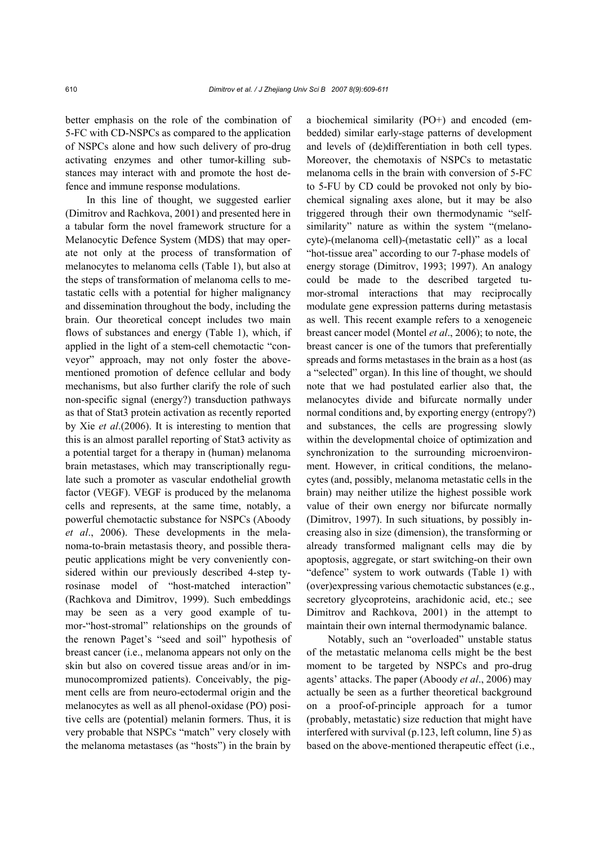better emphasis on the role of the combination of 5-FC with CD-NSPCs as compared to the application of NSPCs alone and how such delivery of pro-drug activating enzymes and other tumor-killing substances may interact with and promote the host defence and immune response modulations.

In this line of thought, we suggested earlier (Dimitrov and Rachkova, 2001) and presented here in a tabular form the novel framework structure for a Melanocytic Defence System (MDS) that may operate not only at the process of transformation of melanocytes to melanoma cells (Table 1), but also at the steps of transformation of melanoma cells to metastatic cells with a potential for higher malignancy and dissemination throughout the body, including the brain. Our theoretical concept includes two main flows of substances and energy (Table 1), which, if applied in the light of a stem-cell chemotactic "conveyor" approach, may not only foster the abovementioned promotion of defence cellular and body mechanisms, but also further clarify the role of such non-specific signal (energy?) transduction pathways as that of Stat3 protein activation as recently reported by Xie *et al*.(2006). It is interesting to mention that this is an almost parallel reporting of Stat3 activity as a potential target for a therapy in (human) melanoma brain metastases, which may transcriptionally regulate such a promoter as vascular endothelial growth factor (VEGF). VEGF is produced by the melanoma cells and represents, at the same time, notably, a powerful chemotactic substance for NSPCs (Aboody *et al*., 2006). These developments in the melanoma-to-brain metastasis theory, and possible therapeutic applications might be very conveniently considered within our previously described 4-step tyrosinase model of "host-matched interaction" (Rachkova and Dimitrov, 1999). Such embeddings may be seen as a very good example of tumor-"host-stromal" relationships on the grounds of the renown Paget's "seed and soil" hypothesis of breast cancer (i.e., melanoma appears not only on the skin but also on covered tissue areas and/or in immunocompromized patients). Conceivably, the pigment cells are from neuro-ectodermal origin and the melanocytes as well as all phenol-oxidase (PO) positive cells are (potential) melanin formers. Thus, it is very probable that NSPCs "match" very closely with the melanoma metastases (as "hosts") in the brain by

a biochemical similarity (PO+) and encoded (embedded) similar early-stage patterns of development and levels of (de)differentiation in both cell types. Moreover, the chemotaxis of NSPCs to metastatic melanoma cells in the brain with conversion of 5-FC to 5-FU by CD could be provoked not only by biochemical signaling axes alone, but it may be also triggered through their own thermodynamic "selfsimilarity" nature as within the system "(melanocyte)-(melanoma cell)-(metastatic cell)" as a local "hot-tissue area" according to our 7-phase models of energy storage (Dimitrov, 1993; 1997). An analogy could be made to the described targeted tumor-stromal interactions that may reciprocally modulate gene expression patterns during metastasis as well. This recent example refers to a xenogeneic breast cancer model (Montel *et al*., 2006); to note, the breast cancer is one of the tumors that preferentially spreads and forms metastases in the brain as a host (as a "selected" organ). In this line of thought, we should note that we had postulated earlier also that, the melanocytes divide and bifurcate normally under normal conditions and, by exporting energy (entropy?) and substances, the cells are progressing slowly within the developmental choice of optimization and synchronization to the surrounding microenvironment. However, in critical conditions, the melanocytes (and, possibly, melanoma metastatic cells in the brain) may neither utilize the highest possible work value of their own energy nor bifurcate normally (Dimitrov, 1997). In such situations, by possibly increasing also in size (dimension), the transforming or already transformed malignant cells may die by apoptosis, aggregate, or start switching-on their own "defence" system to work outwards (Table 1) with (over)expressing various chemotactic substances (e.g., secretory glycoproteins, arachidonic acid, etc.; see Dimitrov and Rachkova, 2001) in the attempt to maintain their own internal thermodynamic balance.

Notably, such an "overloaded" unstable status of the metastatic melanoma cells might be the best moment to be targeted by NSPCs and pro-drug agents' attacks. The paper (Aboody *et al*., 2006) may actually be seen as a further theoretical background on a proof-of-principle approach for a tumor (probably, metastatic) size reduction that might have interfered with survival (p.123, left column, line 5) as based on the above-mentioned therapeutic effect (i.e.,